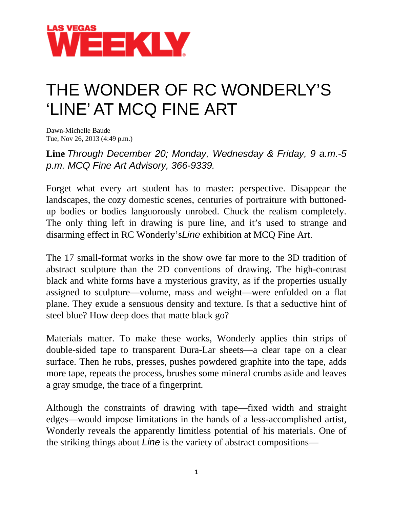

## THE WONDER OF RC WONDERLY'S 'LINE' AT MCQ FINE ART

Dawn-Michelle Baude Tue, Nov 26, 2013 (4:49 p.m.)

**Line** *Through December 20; Monday, Wednesday & Friday, 9 a.m.-5 p.m. MCQ Fine Art Advisory, 366-9339.*

Forget what every art student has to master: perspective. Disappear the landscapes, the cozy domestic scenes, centuries of portraiture with buttonedup bodies or bodies languorously unrobed. Chuck the realism completely. The only thing left in drawing is pure line, and it's used to strange and disarming effect in RC Wonderly's*Line* exhibition at MCQ Fine Art.

The 17 small-format works in the show owe far more to the 3D tradition of abstract sculpture than the 2D conventions of drawing. The high-contrast black and white forms have a mysterious gravity, as if the properties usually assigned to sculpture—volume, mass and weight—were enfolded on a flat plane. They exude a sensuous density and texture. Is that a seductive hint of steel blue? How deep does that matte black go?

Materials matter. To make these works, Wonderly applies thin strips of double-sided tape to transparent Dura-Lar sheets—a clear tape on a clear surface. Then he rubs, presses, pushes powdered graphite into the tape, adds more tape, repeats the process, brushes some mineral crumbs aside and leaves a gray smudge, the trace of a fingerprint.

Although the constraints of drawing with tape—fixed width and straight edges—would impose limitations in the hands of a less-accomplished artist, Wonderly reveals the apparently limitless potential of his materials. One of the striking things about *Line* is the variety of abstract compositions—